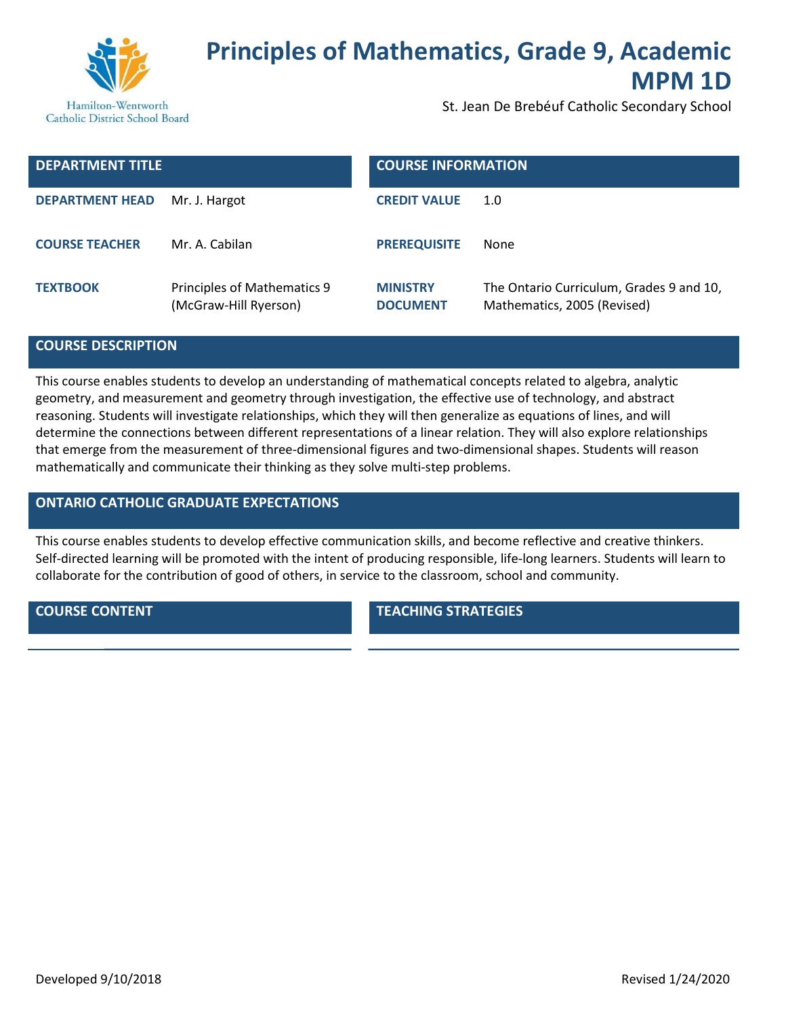

# Principles of Mathematics, Grade 9, Academic MPM 1D

St. Jean De Brebéuf Catholic Secondary School

| <b>DEPARTMENT TITLE</b> |                                                      | <b>COURSE INFORMATION</b>          |                                                                         |
|-------------------------|------------------------------------------------------|------------------------------------|-------------------------------------------------------------------------|
| <b>DEPARTMENT HEAD</b>  | Mr. J. Hargot                                        | <b>CREDIT VALUE</b>                | 1.0                                                                     |
| <b>COURSE TEACHER</b>   | Mr. A. Cabilan                                       | <b>PREREQUISITE</b>                | None                                                                    |
| <b>TEXTBOOK</b>         | Principles of Mathematics 9<br>(McGraw-Hill Ryerson) | <b>MINISTRY</b><br><b>DOCUMENT</b> | The Ontario Curriculum, Grades 9 and 10,<br>Mathematics, 2005 (Revised) |

## COURSE DESCRIPTION

This course enables students to develop an understanding of mathematical concepts related to algebra, analytic geometry, and measurement and geometry through investigation, the effective use of technology, and abstract reasoning. Students will investigate relationships, which they will then generalize as equations of lines, and will determine the connections between different representations of a linear relation. They will also explore relationships that emerge from the measurement of three-dimensional figures and two-dimensional shapes. Students will reason mathematically and communicate their thinking as they solve multi-step problems.

# ONTARIO CATHOLIC GRADUATE EXPECTATIONS

This course enables students to develop effective communication skills, and become reflective and creative thinkers. Self-directed learning will be promoted with the intent of producing responsible, life-long learners. Students will learn to collaborate for the contribution of good of others, in service to the classroom, school and community.

**COURSE CONTENT TEACHING STRATEGIES**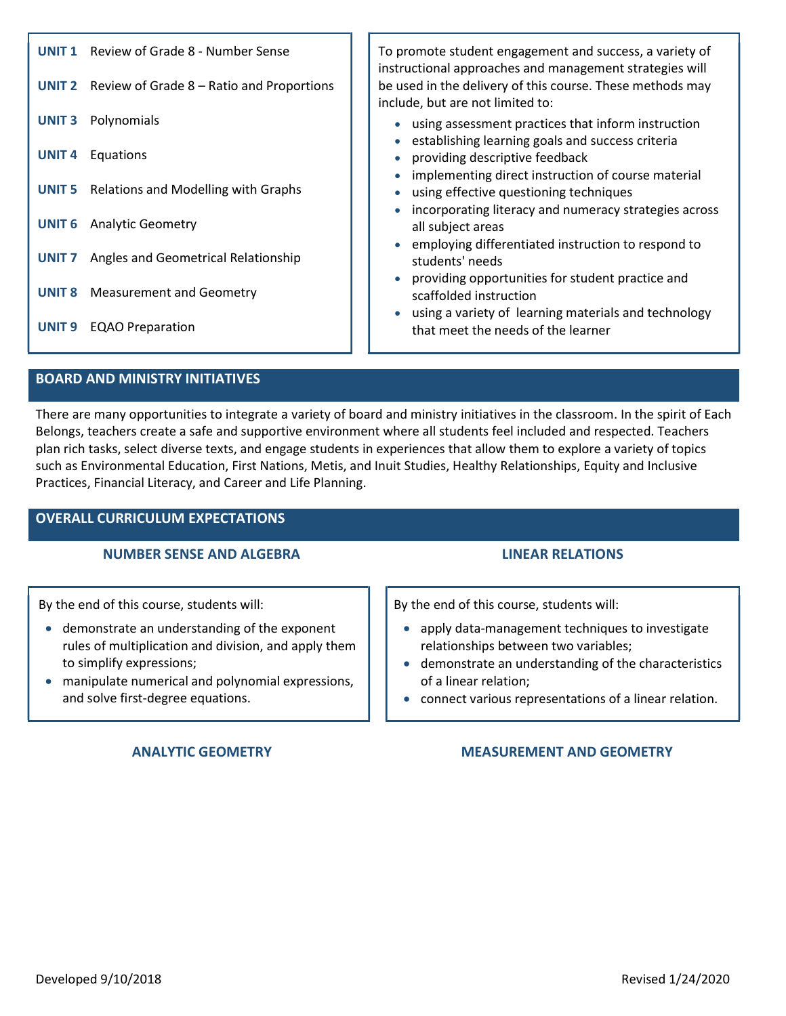| Review of Grade 8 - Number Sense<br><b>UNIT 1</b><br><b>UNIT 2</b><br>Review of Grade 8 – Ratio and Proportions | To promote student engagement and success, a variety of<br>instructional approaches and management strategies will<br>be used in the delivery of this course. These methods may<br>include, but are not limited to: |
|-----------------------------------------------------------------------------------------------------------------|---------------------------------------------------------------------------------------------------------------------------------------------------------------------------------------------------------------------|
| Polynomials<br><b>UNIT3</b>                                                                                     | using assessment practices that inform instruction<br>$\bullet$<br>establishing learning goals and success criteria<br>$\bullet$                                                                                    |
| UNIT <sub>4</sub><br>Equations                                                                                  | providing descriptive feedback<br>$\bullet$<br>implementing direct instruction of course material<br>$\bullet$                                                                                                      |
| Relations and Modelling with Graphs<br><b>UNIT 5</b>                                                            | using effective questioning techniques<br>$\bullet$<br>incorporating literacy and numeracy strategies across                                                                                                        |
| <b>Analytic Geometry</b><br><b>UNIT 6</b>                                                                       | all subject areas                                                                                                                                                                                                   |
| Angles and Geometrical Relationship<br>UNIT <sub>7</sub>                                                        | employing differentiated instruction to respond to<br>students' needs                                                                                                                                               |
| UNIT <sub>8</sub><br><b>Measurement and Geometry</b>                                                            | providing opportunities for student practice and<br>scaffolded instruction                                                                                                                                          |
| UNIT <sub>9</sub><br><b>EQAO Preparation</b>                                                                    | • using a variety of learning materials and technology<br>that meet the needs of the learner                                                                                                                        |
|                                                                                                                 |                                                                                                                                                                                                                     |

# BOARD AND MINISTRY INITIATIVES

There are many opportunities to integrate a variety of board and ministry initiatives in the classroom. In the spirit of Each Belongs, teachers create a safe and supportive environment where all students feel included and respected. Teachers plan rich tasks, select diverse texts, and engage students in experiences that allow them to explore a variety of topics such as Environmental Education, First Nations, Metis, and Inuit Studies, Healthy Relationships, Equity and Inclusive Practices, Financial Literacy, and Career and Life Planning.

# OVERALL CURRICULUM EXPECTATIONS

### NUMBER SENSE AND ALGEBRA LINEAR RELATIONS

By the end of this course, students will:

- demonstrate an understanding of the exponent rules of multiplication and division, and apply them to simplify expressions;
- manipulate numerical and polynomial expressions, and solve first-degree equations.

By the end of this course, students will:

- apply data-management techniques to investigate relationships between two variables;
- demonstrate an understanding of the characteristics of a linear relation;
- connect various representations of a linear relation.

### ANALYTIC GEOMETRY **MEASUREMENT AND GEOMETRY**